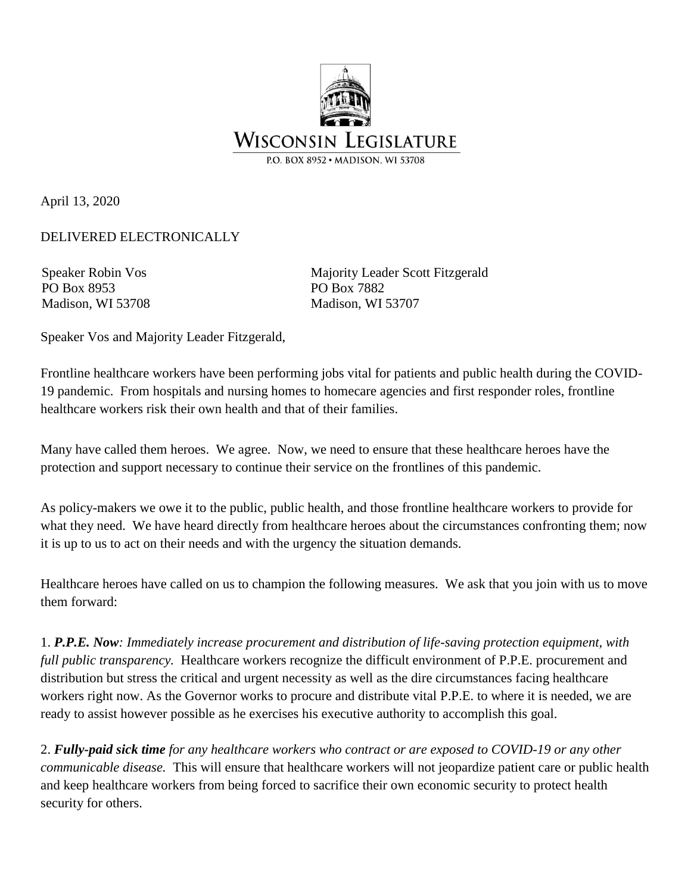

April 13, 2020

DELIVERED ELECTRONICALLY

Speaker Robin Vos PO Box 8953 Madison, WI 53708 Majority Leader Scott Fitzgerald PO Box 7882 Madison, WI 53707

Speaker Vos and Majority Leader Fitzgerald,

Frontline healthcare workers have been performing jobs vital for patients and public health during the COVID-19 pandemic. From hospitals and nursing homes to homecare agencies and first responder roles, frontline healthcare workers risk their own health and that of their families.

Many have called them heroes. We agree. Now, we need to ensure that these healthcare heroes have the protection and support necessary to continue their service on the frontlines of this pandemic.

As policy-makers we owe it to the public, public health, and those frontline healthcare workers to provide for what they need. We have heard directly from healthcare heroes about the circumstances confronting them; now it is up to us to act on their needs and with the urgency the situation demands.

Healthcare heroes have called on us to champion the following measures. We ask that you join with us to move them forward:

1. *P.P.E. Now: Immediately increase procurement and distribution of life-saving protection equipment, with full public transparency.* Healthcare workers recognize the difficult environment of P.P.E. procurement and distribution but stress the critical and urgent necessity as well as the dire circumstances facing healthcare workers right now. As the Governor works to procure and distribute vital P.P.E. to where it is needed, we are ready to assist however possible as he exercises his executive authority to accomplish this goal.

2. *Fully-paid sick time for any healthcare workers who contract or are exposed to COVID-19 or any other communicable disease.* This will ensure that healthcare workers will not jeopardize patient care or public health and keep healthcare workers from being forced to sacrifice their own economic security to protect health security for others.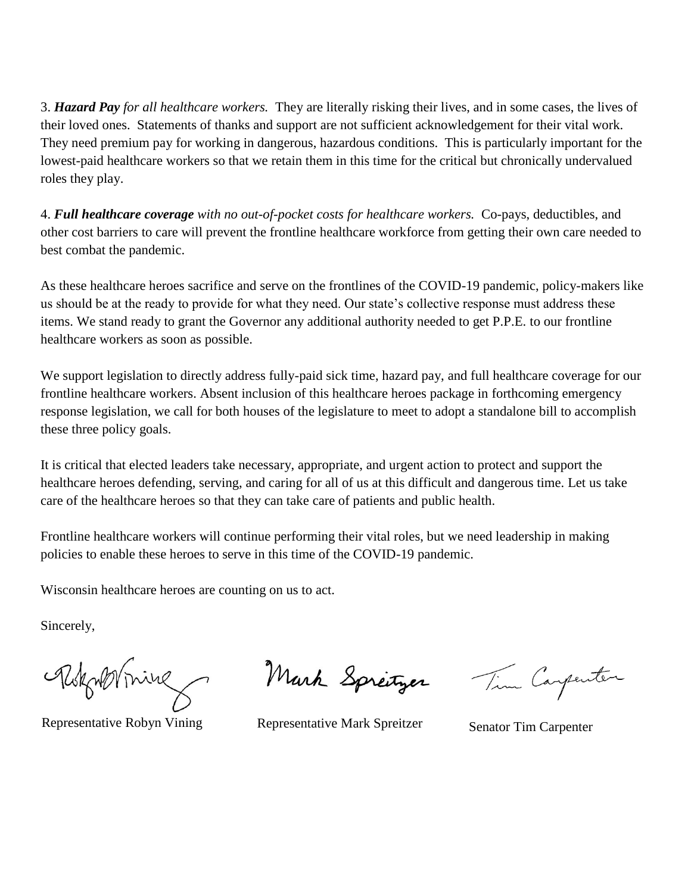3. *Hazard Pay for all healthcare workers.* They are literally risking their lives, and in some cases, the lives of their loved ones. Statements of thanks and support are not sufficient acknowledgement for their vital work. They need premium pay for working in dangerous, hazardous conditions. This is particularly important for the lowest-paid healthcare workers so that we retain them in this time for the critical but chronically undervalued roles they play.

4. *Full healthcare coverage with no out-of-pocket costs for healthcare workers.* Co-pays, deductibles, and other cost barriers to care will prevent the frontline healthcare workforce from getting their own care needed to best combat the pandemic.

As these healthcare heroes sacrifice and serve on the frontlines of the COVID-19 pandemic, policy-makers like us should be at the ready to provide for what they need. Our state's collective response must address these items. We stand ready to grant the Governor any additional authority needed to get P.P.E. to our frontline healthcare workers as soon as possible.

We support legislation to directly address fully-paid sick time, hazard pay, and full healthcare coverage for our frontline healthcare workers. Absent inclusion of this healthcare heroes package in forthcoming emergency response legislation, we call for both houses of the legislature to meet to adopt a standalone bill to accomplish these three policy goals.

It is critical that elected leaders take necessary, appropriate, and urgent action to protect and support the healthcare heroes defending, serving, and caring for all of us at this difficult and dangerous time. Let us take care of the healthcare heroes so that they can take care of patients and public health.

Frontline healthcare workers will continue performing their vital roles, but we need leadership in making policies to enable these heroes to serve in this time of the COVID-19 pandemic.

Wisconsin healthcare heroes are counting on us to act.

Sincerely,

Rokynbrine

Mark Springer

Representative Robyn Vining Representative Mark Spreitzer Senator Tim Carpenter

Tim Carpenter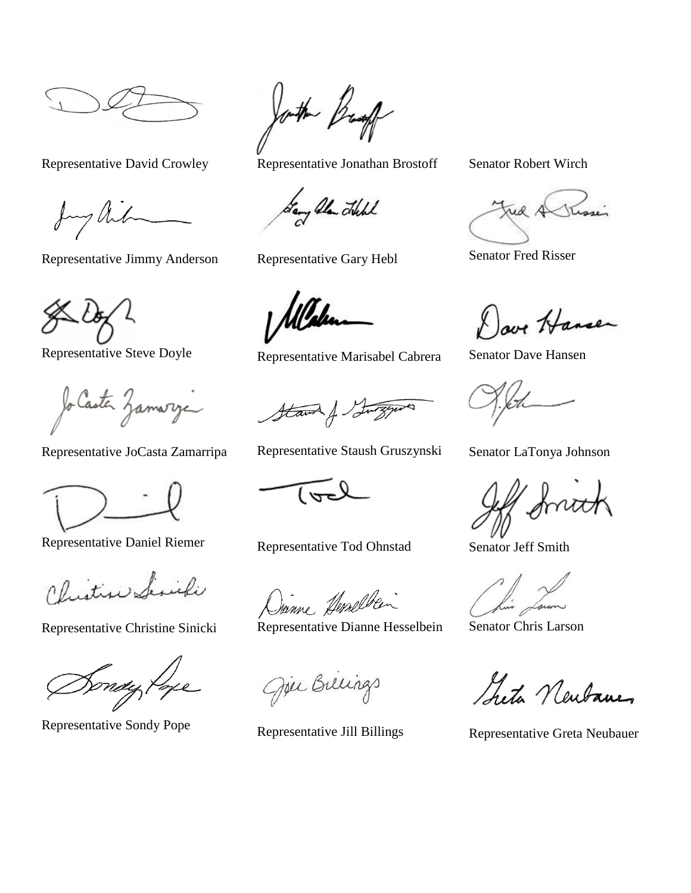my Aib

Representative Jimmy Anderson Representative Gary Hebl Senator Fred Risser

Jo Caster Zamarye

Representative JoCasta Zamarripa Representative Staush Gruszynski Senator LaTonya Johnson

Representative Daniel Riemer Representative Tod Ohnstad Senator Jeff Smith

Christine Similie

Joth Bright

Representative David Crowley Representative Jonathan Brostoff Senator Robert Wirch

Fany Alan Hell

Allalen

Representative Steve Doyle Representative Marisabel Cabrera Senator Dave Hansen

Stawn & Luizyer ♦

Danne Anaelbei

Representative Christine Sinicki Representative Dianne Hesselbein Senator Chris Larson

Oper Billings

Dove Hansen

Sheta Newbane

Representative Sondy Pope<br>Representative Jill Billings<br>Representative Greta Neubauer